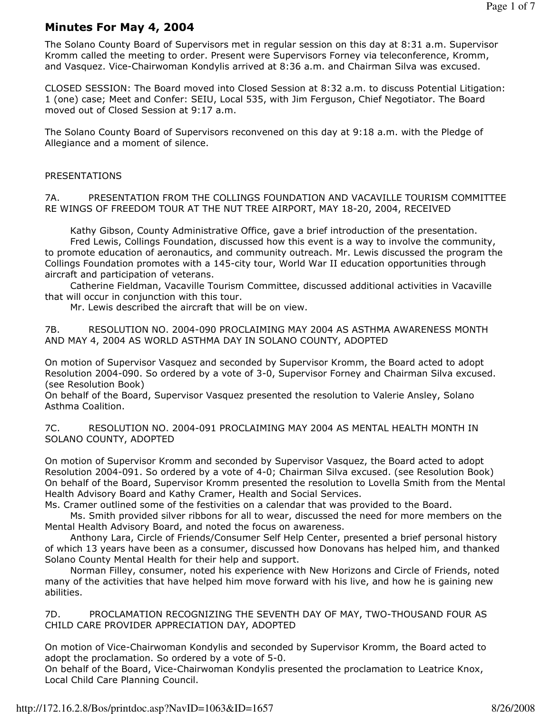# Minutes For May 4, 2004

The Solano County Board of Supervisors met in regular session on this day at 8:31 a.m. Supervisor Kromm called the meeting to order. Present were Supervisors Forney via teleconference, Kromm, and Vasquez. Vice-Chairwoman Kondylis arrived at 8:36 a.m. and Chairman Silva was excused.

CLOSED SESSION: The Board moved into Closed Session at 8:32 a.m. to discuss Potential Litigation: 1 (one) case; Meet and Confer: SEIU, Local 535, with Jim Ferguson, Chief Negotiator. The Board moved out of Closed Session at 9:17 a.m.

The Solano County Board of Supervisors reconvened on this day at 9:18 a.m. with the Pledge of Allegiance and a moment of silence.

#### PRESENTATIONS

7A. PRESENTATION FROM THE COLLINGS FOUNDATION AND VACAVILLE TOURISM COMMITTEE RE WINGS OF FREEDOM TOUR AT THE NUT TREE AIRPORT, MAY 18-20, 2004, RECEIVED

Kathy Gibson, County Administrative Office, gave a brief introduction of the presentation.

 Fred Lewis, Collings Foundation, discussed how this event is a way to involve the community, to promote education of aeronautics, and community outreach. Mr. Lewis discussed the program the Collings Foundation promotes with a 145-city tour, World War II education opportunities through aircraft and participation of veterans.

 Catherine Fieldman, Vacaville Tourism Committee, discussed additional activities in Vacaville that will occur in conjunction with this tour.

Mr. Lewis described the aircraft that will be on view.

7B. RESOLUTION NO. 2004-090 PROCLAIMING MAY 2004 AS ASTHMA AWARENESS MONTH AND MAY 4, 2004 AS WORLD ASTHMA DAY IN SOLANO COUNTY, ADOPTED

On motion of Supervisor Vasquez and seconded by Supervisor Kromm, the Board acted to adopt Resolution 2004-090. So ordered by a vote of 3-0, Supervisor Forney and Chairman Silva excused. (see Resolution Book)

On behalf of the Board, Supervisor Vasquez presented the resolution to Valerie Ansley, Solano Asthma Coalition.

7C. RESOLUTION NO. 2004-091 PROCLAIMING MAY 2004 AS MENTAL HEALTH MONTH IN SOLANO COUNTY, ADOPTED

On motion of Supervisor Kromm and seconded by Supervisor Vasquez, the Board acted to adopt Resolution 2004-091. So ordered by a vote of 4-0; Chairman Silva excused. (see Resolution Book) On behalf of the Board, Supervisor Kromm presented the resolution to Lovella Smith from the Mental Health Advisory Board and Kathy Cramer, Health and Social Services.

Ms. Cramer outlined some of the festivities on a calendar that was provided to the Board.

 Ms. Smith provided silver ribbons for all to wear, discussed the need for more members on the Mental Health Advisory Board, and noted the focus on awareness.

 Anthony Lara, Circle of Friends/Consumer Self Help Center, presented a brief personal history of which 13 years have been as a consumer, discussed how Donovans has helped him, and thanked Solano County Mental Health for their help and support.

 Norman Filley, consumer, noted his experience with New Horizons and Circle of Friends, noted many of the activities that have helped him move forward with his live, and how he is gaining new abilities.

7D. PROCLAMATION RECOGNIZING THE SEVENTH DAY OF MAY, TWO-THOUSAND FOUR AS CHILD CARE PROVIDER APPRECIATION DAY, ADOPTED

On motion of Vice-Chairwoman Kondylis and seconded by Supervisor Kromm, the Board acted to adopt the proclamation. So ordered by a vote of 5-0.

On behalf of the Board, Vice-Chairwoman Kondylis presented the proclamation to Leatrice Knox, Local Child Care Planning Council.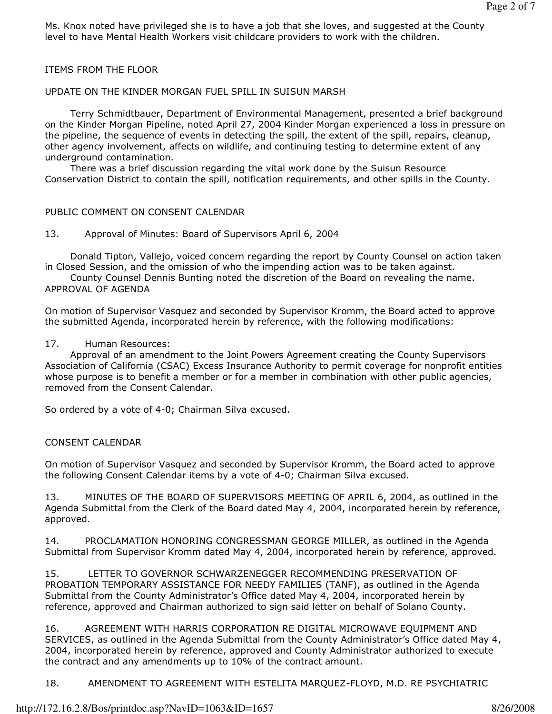Ms. Knox noted have privileged she is to have a job that she loves, and suggested at the County level to have Mental Health Workers visit childcare providers to work with the children.

ITEMS FROM THE FLOOR

## UPDATE ON THE KINDER MORGAN FUEL SPILL IN SUISUN MARSH

 Terry Schmidtbauer, Department of Environmental Management, presented a brief background on the Kinder Morgan Pipeline, noted April 27, 2004 Kinder Morgan experienced a loss in pressure on the pipeline, the sequence of events in detecting the spill, the extent of the spill, repairs, cleanup, other agency involvement, affects on wildlife, and continuing testing to determine extent of any underground contamination.

 There was a brief discussion regarding the vital work done by the Suisun Resource Conservation District to contain the spill, notification requirements, and other spills in the County.

#### PUBLIC COMMENT ON CONSENT CALENDAR

13. Approval of Minutes: Board of Supervisors April 6, 2004

 Donald Tipton, Vallejo, voiced concern regarding the report by County Counsel on action taken in Closed Session, and the omission of who the impending action was to be taken against.

 County Counsel Dennis Bunting noted the discretion of the Board on revealing the name. APPROVAL OF AGENDA

On motion of Supervisor Vasquez and seconded by Supervisor Kromm, the Board acted to approve the submitted Agenda, incorporated herein by reference, with the following modifications:

#### 17. Human Resources:

 Approval of an amendment to the Joint Powers Agreement creating the County Supervisors Association of California (CSAC) Excess Insurance Authority to permit coverage for nonprofit entities whose purpose is to benefit a member or for a member in combination with other public agencies, removed from the Consent Calendar.

So ordered by a vote of 4-0; Chairman Silva excused.

#### CONSENT CALENDAR

On motion of Supervisor Vasquez and seconded by Supervisor Kromm, the Board acted to approve the following Consent Calendar items by a vote of 4-0; Chairman Silva excused.

13. MINUTES OF THE BOARD OF SUPERVISORS MEETING OF APRIL 6, 2004, as outlined in the Agenda Submittal from the Clerk of the Board dated May 4, 2004, incorporated herein by reference, approved.

14. PROCLAMATION HONORING CONGRESSMAN GEORGE MILLER, as outlined in the Agenda Submittal from Supervisor Kromm dated May 4, 2004, incorporated herein by reference, approved.

15. LETTER TO GOVERNOR SCHWARZENEGGER RECOMMENDING PRESERVATION OF PROBATION TEMPORARY ASSISTANCE FOR NEEDY FAMILIES (TANF), as outlined in the Agenda Submittal from the County Administrator's Office dated May 4, 2004, incorporated herein by reference, approved and Chairman authorized to sign said letter on behalf of Solano County.

16. AGREEMENT WITH HARRIS CORPORATION RE DIGITAL MICROWAVE EQUIPMENT AND SERVICES, as outlined in the Agenda Submittal from the County Administrator's Office dated May 4, 2004, incorporated herein by reference, approved and County Administrator authorized to execute the contract and any amendments up to 10% of the contract amount.

18. AMENDMENT TO AGREEMENT WITH ESTELITA MARQUEZ-FLOYD, M.D. RE PSYCHIATRIC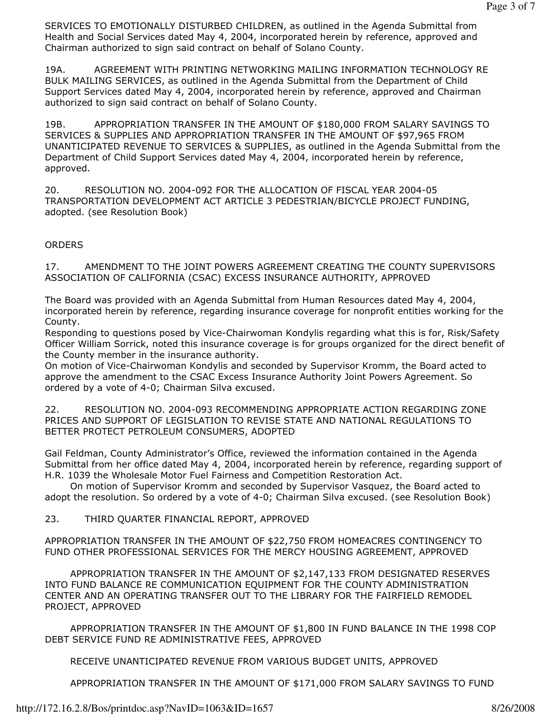SERVICES TO EMOTIONALLY DISTURBED CHILDREN, as outlined in the Agenda Submittal from Health and Social Services dated May 4, 2004, incorporated herein by reference, approved and Chairman authorized to sign said contract on behalf of Solano County.

19A. AGREEMENT WITH PRINTING NETWORKING MAILING INFORMATION TECHNOLOGY RE BULK MAILING SERVICES, as outlined in the Agenda Submittal from the Department of Child Support Services dated May 4, 2004, incorporated herein by reference, approved and Chairman authorized to sign said contract on behalf of Solano County.

19B. APPROPRIATION TRANSFER IN THE AMOUNT OF \$180,000 FROM SALARY SAVINGS TO SERVICES & SUPPLIES AND APPROPRIATION TRANSFER IN THE AMOUNT OF \$97,965 FROM UNANTICIPATED REVENUE TO SERVICES & SUPPLIES, as outlined in the Agenda Submittal from the Department of Child Support Services dated May 4, 2004, incorporated herein by reference, approved.

20. RESOLUTION NO. 2004-092 FOR THE ALLOCATION OF FISCAL YEAR 2004-05 TRANSPORTATION DEVELOPMENT ACT ARTICLE 3 PEDESTRIAN/BICYCLE PROJECT FUNDING, adopted. (see Resolution Book)

**ORDERS** 

17. AMENDMENT TO THE JOINT POWERS AGREEMENT CREATING THE COUNTY SUPERVISORS ASSOCIATION OF CALIFORNIA (CSAC) EXCESS INSURANCE AUTHORITY, APPROVED

The Board was provided with an Agenda Submittal from Human Resources dated May 4, 2004, incorporated herein by reference, regarding insurance coverage for nonprofit entities working for the County.

Responding to questions posed by Vice-Chairwoman Kondylis regarding what this is for, Risk/Safety Officer William Sorrick, noted this insurance coverage is for groups organized for the direct benefit of the County member in the insurance authority.

On motion of Vice-Chairwoman Kondylis and seconded by Supervisor Kromm, the Board acted to approve the amendment to the CSAC Excess Insurance Authority Joint Powers Agreement. So ordered by a vote of 4-0; Chairman Silva excused.

22. RESOLUTION NO. 2004-093 RECOMMENDING APPROPRIATE ACTION REGARDING ZONE PRICES AND SUPPORT OF LEGISLATION TO REVISE STATE AND NATIONAL REGULATIONS TO BETTER PROTECT PETROLEUM CONSUMERS, ADOPTED

Gail Feldman, County Administrator's Office, reviewed the information contained in the Agenda Submittal from her office dated May 4, 2004, incorporated herein by reference, regarding support of H.R. 1039 the Wholesale Motor Fuel Fairness and Competition Restoration Act.

 On motion of Supervisor Kromm and seconded by Supervisor Vasquez, the Board acted to adopt the resolution. So ordered by a vote of 4-0; Chairman Silva excused. (see Resolution Book)

23. THIRD QUARTER FINANCIAL REPORT, APPROVED

APPROPRIATION TRANSFER IN THE AMOUNT OF \$22,750 FROM HOMEACRES CONTINGENCY TO FUND OTHER PROFESSIONAL SERVICES FOR THE MERCY HOUSING AGREEMENT, APPROVED

 APPROPRIATION TRANSFER IN THE AMOUNT OF \$2,147,133 FROM DESIGNATED RESERVES INTO FUND BALANCE RE COMMUNICATION EQUIPMENT FOR THE COUNTY ADMINISTRATION CENTER AND AN OPERATING TRANSFER OUT TO THE LIBRARY FOR THE FAIRFIELD REMODEL PROJECT, APPROVED

 APPROPRIATION TRANSFER IN THE AMOUNT OF \$1,800 IN FUND BALANCE IN THE 1998 COP DEBT SERVICE FUND RE ADMINISTRATIVE FEES, APPROVED

RECEIVE UNANTICIPATED REVENUE FROM VARIOUS BUDGET UNITS, APPROVED

APPROPRIATION TRANSFER IN THE AMOUNT OF \$171,000 FROM SALARY SAVINGS TO FUND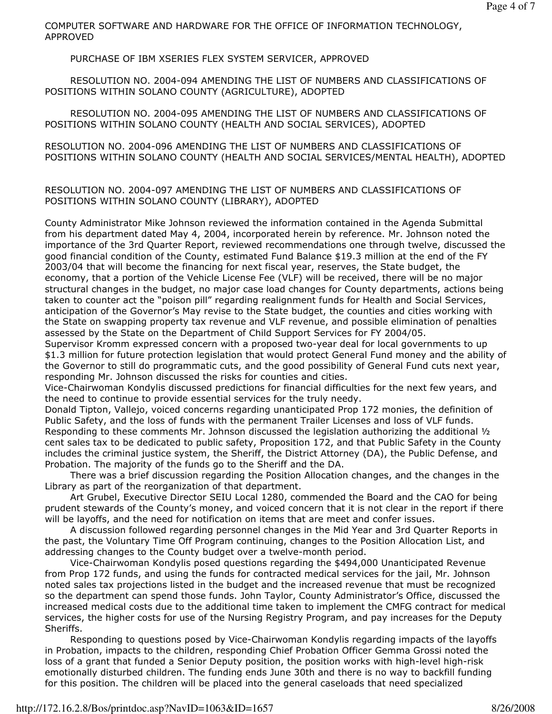COMPUTER SOFTWARE AND HARDWARE FOR THE OFFICE OF INFORMATION TECHNOLOGY, APPROVED

PURCHASE OF IBM XSERIES FLEX SYSTEM SERVICER, APPROVED

 RESOLUTION NO. 2004-094 AMENDING THE LIST OF NUMBERS AND CLASSIFICATIONS OF POSITIONS WITHIN SOLANO COUNTY (AGRICULTURE), ADOPTED

 RESOLUTION NO. 2004-095 AMENDING THE LIST OF NUMBERS AND CLASSIFICATIONS OF POSITIONS WITHIN SOLANO COUNTY (HEALTH AND SOCIAL SERVICES), ADOPTED

RESOLUTION NO. 2004-096 AMENDING THE LIST OF NUMBERS AND CLASSIFICATIONS OF POSITIONS WITHIN SOLANO COUNTY (HEALTH AND SOCIAL SERVICES/MENTAL HEALTH), ADOPTED

## RESOLUTION NO. 2004-097 AMENDING THE LIST OF NUMBERS AND CLASSIFICATIONS OF POSITIONS WITHIN SOLANO COUNTY (LIBRARY), ADOPTED

County Administrator Mike Johnson reviewed the information contained in the Agenda Submittal from his department dated May 4, 2004, incorporated herein by reference. Mr. Johnson noted the importance of the 3rd Quarter Report, reviewed recommendations one through twelve, discussed the good financial condition of the County, estimated Fund Balance \$19.3 million at the end of the FY 2003/04 that will become the financing for next fiscal year, reserves, the State budget, the economy, that a portion of the Vehicle License Fee (VLF) will be received, there will be no major structural changes in the budget, no major case load changes for County departments, actions being taken to counter act the "poison pill" regarding realignment funds for Health and Social Services, anticipation of the Governor's May revise to the State budget, the counties and cities working with the State on swapping property tax revenue and VLF revenue, and possible elimination of penalties assessed by the State on the Department of Child Support Services for FY 2004/05.

Supervisor Kromm expressed concern with a proposed two-year deal for local governments to up \$1.3 million for future protection legislation that would protect General Fund money and the ability of the Governor to still do programmatic cuts, and the good possibility of General Fund cuts next year, responding Mr. Johnson discussed the risks for counties and cities.

Vice-Chairwoman Kondylis discussed predictions for financial difficulties for the next few years, and the need to continue to provide essential services for the truly needy.

Donald Tipton, Vallejo, voiced concerns regarding unanticipated Prop 172 monies, the definition of Public Safety, and the loss of funds with the permanent Trailer Licenses and loss of VLF funds. Responding to these comments Mr. Johnson discussed the legislation authorizing the additional 1/2 cent sales tax to be dedicated to public safety, Proposition 172, and that Public Safety in the County includes the criminal justice system, the Sheriff, the District Attorney (DA), the Public Defense, and Probation. The majority of the funds go to the Sheriff and the DA.

 There was a brief discussion regarding the Position Allocation changes, and the changes in the Library as part of the reorganization of that department.

 Art Grubel, Executive Director SEIU Local 1280, commended the Board and the CAO for being prudent stewards of the County's money, and voiced concern that it is not clear in the report if there will be layoffs, and the need for notification on items that are meet and confer issues.

 A discussion followed regarding personnel changes in the Mid Year and 3rd Quarter Reports in the past, the Voluntary Time Off Program continuing, changes to the Position Allocation List, and addressing changes to the County budget over a twelve-month period.

 Vice-Chairwoman Kondylis posed questions regarding the \$494,000 Unanticipated Revenue from Prop 172 funds, and using the funds for contracted medical services for the jail, Mr. Johnson noted sales tax projections listed in the budget and the increased revenue that must be recognized so the department can spend those funds. John Taylor, County Administrator's Office, discussed the increased medical costs due to the additional time taken to implement the CMFG contract for medical services, the higher costs for use of the Nursing Registry Program, and pay increases for the Deputy Sheriffs.

 Responding to questions posed by Vice-Chairwoman Kondylis regarding impacts of the layoffs in Probation, impacts to the children, responding Chief Probation Officer Gemma Grossi noted the loss of a grant that funded a Senior Deputy position, the position works with high-level high-risk emotionally disturbed children. The funding ends June 30th and there is no way to backfill funding for this position. The children will be placed into the general caseloads that need specialized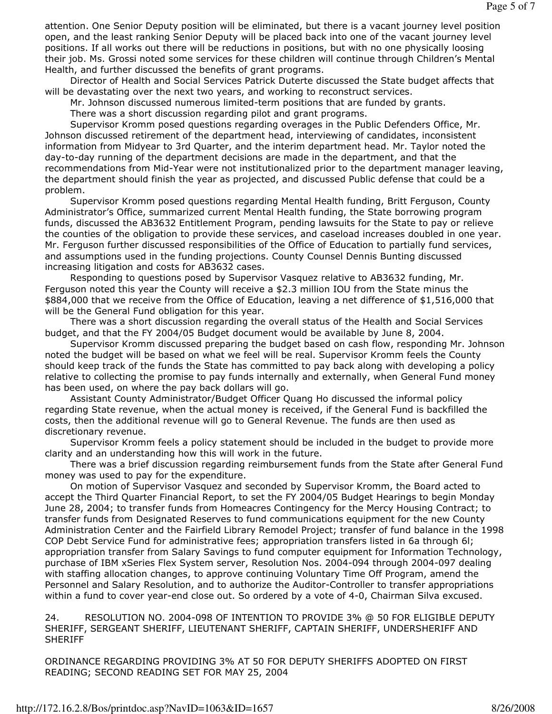attention. One Senior Deputy position will be eliminated, but there is a vacant journey level position open, and the least ranking Senior Deputy will be placed back into one of the vacant journey level positions. If all works out there will be reductions in positions, but with no one physically loosing their job. Ms. Grossi noted some services for these children will continue through Children's Mental Health, and further discussed the benefits of grant programs.

 Director of Health and Social Services Patrick Duterte discussed the State budget affects that will be devastating over the next two years, and working to reconstruct services.

Mr. Johnson discussed numerous limited-term positions that are funded by grants.

There was a short discussion regarding pilot and grant programs.

 Supervisor Kromm posed questions regarding overages in the Public Defenders Office, Mr. Johnson discussed retirement of the department head, interviewing of candidates, inconsistent information from Midyear to 3rd Quarter, and the interim department head. Mr. Taylor noted the day-to-day running of the department decisions are made in the department, and that the recommendations from Mid-Year were not institutionalized prior to the department manager leaving, the department should finish the year as projected, and discussed Public defense that could be a problem.

 Supervisor Kromm posed questions regarding Mental Health funding, Britt Ferguson, County Administrator's Office, summarized current Mental Health funding, the State borrowing program funds, discussed the AB3632 Entitlement Program, pending lawsuits for the State to pay or relieve the counties of the obligation to provide these services, and caseload increases doubled in one year. Mr. Ferguson further discussed responsibilities of the Office of Education to partially fund services, and assumptions used in the funding projections. County Counsel Dennis Bunting discussed increasing litigation and costs for AB3632 cases.

 Responding to questions posed by Supervisor Vasquez relative to AB3632 funding, Mr. Ferguson noted this year the County will receive a \$2.3 million IOU from the State minus the \$884,000 that we receive from the Office of Education, leaving a net difference of \$1,516,000 that will be the General Fund obligation for this year.

 There was a short discussion regarding the overall status of the Health and Social Services budget, and that the FY 2004/05 Budget document would be available by June 8, 2004.

 Supervisor Kromm discussed preparing the budget based on cash flow, responding Mr. Johnson noted the budget will be based on what we feel will be real. Supervisor Kromm feels the County should keep track of the funds the State has committed to pay back along with developing a policy relative to collecting the promise to pay funds internally and externally, when General Fund money has been used, on where the pay back dollars will go.

 Assistant County Administrator/Budget Officer Quang Ho discussed the informal policy regarding State revenue, when the actual money is received, if the General Fund is backfilled the costs, then the additional revenue will go to General Revenue. The funds are then used as discretionary revenue.

 Supervisor Kromm feels a policy statement should be included in the budget to provide more clarity and an understanding how this will work in the future.

 There was a brief discussion regarding reimbursement funds from the State after General Fund money was used to pay for the expenditure.

 On motion of Supervisor Vasquez and seconded by Supervisor Kromm, the Board acted to accept the Third Quarter Financial Report, to set the FY 2004/05 Budget Hearings to begin Monday June 28, 2004; to transfer funds from Homeacres Contingency for the Mercy Housing Contract; to transfer funds from Designated Reserves to fund communications equipment for the new County Administration Center and the Fairfield Library Remodel Project; transfer of fund balance in the 1998 COP Debt Service Fund for administrative fees; appropriation transfers listed in 6a through 6l; appropriation transfer from Salary Savings to fund computer equipment for Information Technology, purchase of IBM xSeries Flex System server, Resolution Nos. 2004-094 through 2004-097 dealing with staffing allocation changes, to approve continuing Voluntary Time Off Program, amend the Personnel and Salary Resolution, and to authorize the Auditor-Controller to transfer appropriations within a fund to cover year-end close out. So ordered by a vote of 4-0, Chairman Silva excused.

24. RESOLUTION NO. 2004-098 OF INTENTION TO PROVIDE 3% @ 50 FOR ELIGIBLE DEPUTY SHERIFF, SERGEANT SHERIFF, LIEUTENANT SHERIFF, CAPTAIN SHERIFF, UNDERSHERIFF AND **SHERIFF** 

ORDINANCE REGARDING PROVIDING 3% AT 50 FOR DEPUTY SHERIFFS ADOPTED ON FIRST READING; SECOND READING SET FOR MAY 25, 2004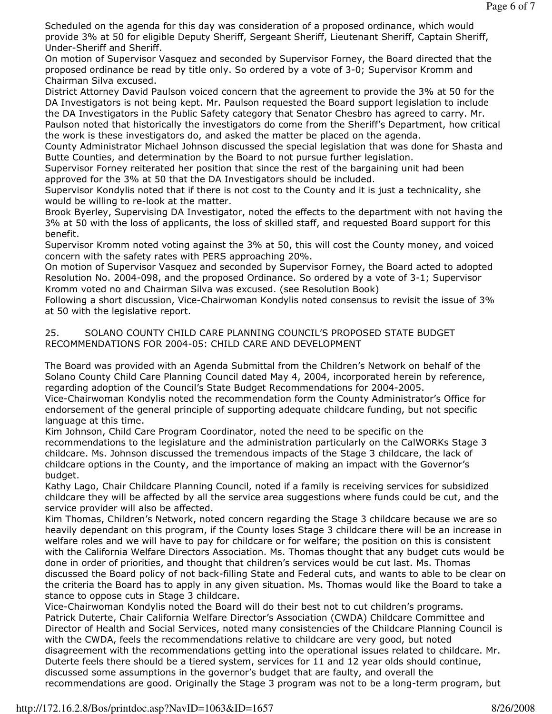Scheduled on the agenda for this day was consideration of a proposed ordinance, which would provide 3% at 50 for eligible Deputy Sheriff, Sergeant Sheriff, Lieutenant Sheriff, Captain Sheriff, Under-Sheriff and Sheriff.

On motion of Supervisor Vasquez and seconded by Supervisor Forney, the Board directed that the proposed ordinance be read by title only. So ordered by a vote of 3-0; Supervisor Kromm and Chairman Silva excused.

District Attorney David Paulson voiced concern that the agreement to provide the 3% at 50 for the DA Investigators is not being kept. Mr. Paulson requested the Board support legislation to include the DA Investigators in the Public Safety category that Senator Chesbro has agreed to carry. Mr. Paulson noted that historically the investigators do come from the Sheriff's Department, how critical the work is these investigators do, and asked the matter be placed on the agenda.

County Administrator Michael Johnson discussed the special legislation that was done for Shasta and Butte Counties, and determination by the Board to not pursue further legislation.

Supervisor Forney reiterated her position that since the rest of the bargaining unit had been approved for the 3% at 50 that the DA Investigators should be included.

Supervisor Kondylis noted that if there is not cost to the County and it is just a technicality, she would be willing to re-look at the matter.

Brook Byerley, Supervising DA Investigator, noted the effects to the department with not having the 3% at 50 with the loss of applicants, the loss of skilled staff, and requested Board support for this benefit.

Supervisor Kromm noted voting against the 3% at 50, this will cost the County money, and voiced concern with the safety rates with PERS approaching 20%.

On motion of Supervisor Vasquez and seconded by Supervisor Forney, the Board acted to adopted Resolution No. 2004-098, and the proposed Ordinance. So ordered by a vote of 3-1; Supervisor Kromm voted no and Chairman Silva was excused. (see Resolution Book)

Following a short discussion, Vice-Chairwoman Kondylis noted consensus to revisit the issue of 3% at 50 with the legislative report.

### 25. SOLANO COUNTY CHILD CARE PLANNING COUNCIL'S PROPOSED STATE BUDGET RECOMMENDATIONS FOR 2004-05: CHILD CARE AND DEVELOPMENT

The Board was provided with an Agenda Submittal from the Children's Network on behalf of the Solano County Child Care Planning Council dated May 4, 2004, incorporated herein by reference, regarding adoption of the Council's State Budget Recommendations for 2004-2005.

Vice-Chairwoman Kondylis noted the recommendation form the County Administrator's Office for endorsement of the general principle of supporting adequate childcare funding, but not specific language at this time.

Kim Johnson, Child Care Program Coordinator, noted the need to be specific on the recommendations to the legislature and the administration particularly on the CalWORKs Stage 3 childcare. Ms. Johnson discussed the tremendous impacts of the Stage 3 childcare, the lack of childcare options in the County, and the importance of making an impact with the Governor's budget.

Kathy Lago, Chair Childcare Planning Council, noted if a family is receiving services for subsidized childcare they will be affected by all the service area suggestions where funds could be cut, and the service provider will also be affected.

Kim Thomas, Children's Network, noted concern regarding the Stage 3 childcare because we are so heavily dependant on this program, if the County loses Stage 3 childcare there will be an increase in welfare roles and we will have to pay for childcare or for welfare; the position on this is consistent with the California Welfare Directors Association. Ms. Thomas thought that any budget cuts would be done in order of priorities, and thought that children's services would be cut last. Ms. Thomas discussed the Board policy of not back-filling State and Federal cuts, and wants to able to be clear on the criteria the Board has to apply in any given situation. Ms. Thomas would like the Board to take a stance to oppose cuts in Stage 3 childcare.

Vice-Chairwoman Kondylis noted the Board will do their best not to cut children's programs. Patrick Duterte, Chair California Welfare Director's Association (CWDA) Childcare Committee and Director of Health and Social Services, noted many consistencies of the Childcare Planning Council is with the CWDA, feels the recommendations relative to childcare are very good, but noted disagreement with the recommendations getting into the operational issues related to childcare. Mr. Duterte feels there should be a tiered system, services for 11 and 12 year olds should continue, discussed some assumptions in the governor's budget that are faulty, and overall the recommendations are good. Originally the Stage 3 program was not to be a long-term program, but